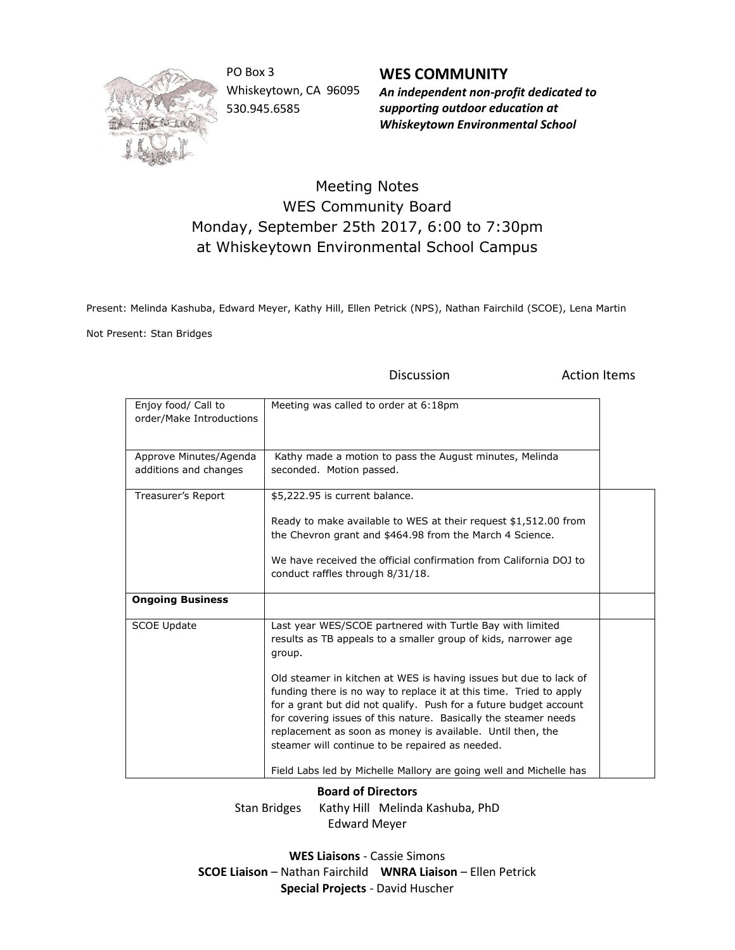

PO Box 3 Whiskeytown, CA 96095 530.945.6585

**WES COMMUNITY** *An independent non-profit dedicated to supporting outdoor education at Whiskeytown Environmental School*

## Meeting Notes WES Community Board Monday, September 25th 2017, 6:00 to 7:30pm at Whiskeytown Environmental School Campus

Present: Melinda Kashuba, Edward Meyer, Kathy Hill, Ellen Petrick (NPS), Nathan Fairchild (SCOE), Lena Martin

Not Present: Stan Bridges

Discussion **Action Items** 

| Enjoy food/ Call to<br>order/Make Introductions | Meeting was called to order at 6:18pm                                                                                                                                                                                                                                                                                                                                                                                                                                                                                                                                                                           |  |
|-------------------------------------------------|-----------------------------------------------------------------------------------------------------------------------------------------------------------------------------------------------------------------------------------------------------------------------------------------------------------------------------------------------------------------------------------------------------------------------------------------------------------------------------------------------------------------------------------------------------------------------------------------------------------------|--|
| Approve Minutes/Agenda<br>additions and changes | Kathy made a motion to pass the August minutes, Melinda<br>seconded. Motion passed.                                                                                                                                                                                                                                                                                                                                                                                                                                                                                                                             |  |
| Treasurer's Report                              | \$5,222.95 is current balance.<br>Ready to make available to WES at their request \$1,512.00 from<br>the Chevron grant and \$464.98 from the March 4 Science.<br>We have received the official confirmation from California DOJ to<br>conduct raffles through 8/31/18.                                                                                                                                                                                                                                                                                                                                          |  |
| <b>Ongoing Business</b>                         |                                                                                                                                                                                                                                                                                                                                                                                                                                                                                                                                                                                                                 |  |
| <b>SCOE Update</b>                              | Last year WES/SCOE partnered with Turtle Bay with limited<br>results as TB appeals to a smaller group of kids, narrower age<br>group.<br>Old steamer in kitchen at WES is having issues but due to lack of<br>funding there is no way to replace it at this time. Tried to apply<br>for a grant but did not qualify. Push for a future budget account<br>for covering issues of this nature. Basically the steamer needs<br>replacement as soon as money is available. Until then, the<br>steamer will continue to be repaired as needed.<br>Field Labs led by Michelle Mallory are going well and Michelle has |  |

## **Board of Directors**

Stan Bridges Kathy Hill Melinda Kashuba, PhD Edward Meyer

**WES Liaisons** - Cassie Simons **SCOE Liaison** – Nathan Fairchild **WNRA Liaison** – Ellen Petrick **Special Projects** - David Huscher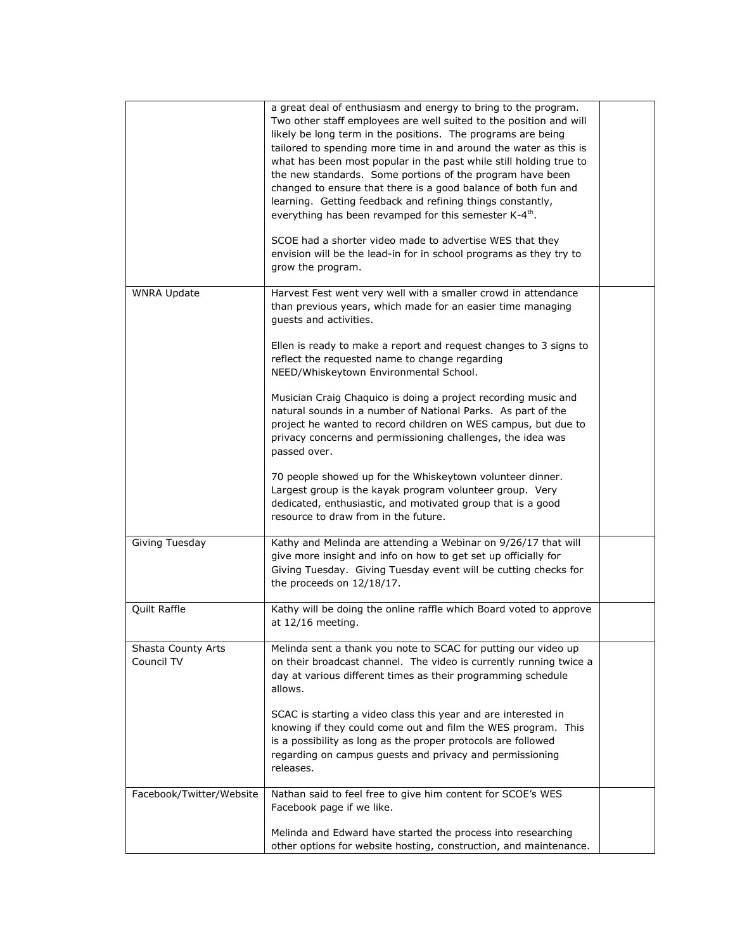|                                  | a great deal of enthusiasm and energy to bring to the program.<br>Two other staff employees are well suited to the position and will<br>likely be long term in the positions. The programs are being<br>tailored to spending more time in and around the water as this is<br>what has been most popular in the past while still holding true to<br>the new standards. Some portions of the program have been<br>changed to ensure that there is a good balance of both fun and<br>learning. Getting feedback and refining things constantly,<br>everything has been revamped for this semester K-4 <sup>th</sup> .<br>SCOE had a shorter video made to advertise WES that they<br>envision will be the lead-in for in school programs as they try to<br>grow the program. |  |
|----------------------------------|---------------------------------------------------------------------------------------------------------------------------------------------------------------------------------------------------------------------------------------------------------------------------------------------------------------------------------------------------------------------------------------------------------------------------------------------------------------------------------------------------------------------------------------------------------------------------------------------------------------------------------------------------------------------------------------------------------------------------------------------------------------------------|--|
| <b>WNRA Update</b>               | Harvest Fest went very well with a smaller crowd in attendance<br>than previous years, which made for an easier time managing<br>guests and activities.                                                                                                                                                                                                                                                                                                                                                                                                                                                                                                                                                                                                                   |  |
|                                  | Ellen is ready to make a report and request changes to 3 signs to<br>reflect the requested name to change regarding<br>NEED/Whiskeytown Environmental School.                                                                                                                                                                                                                                                                                                                                                                                                                                                                                                                                                                                                             |  |
|                                  | Musician Craig Chaquico is doing a project recording music and<br>natural sounds in a number of National Parks. As part of the<br>project he wanted to record children on WES campus, but due to<br>privacy concerns and permissioning challenges, the idea was<br>passed over.                                                                                                                                                                                                                                                                                                                                                                                                                                                                                           |  |
|                                  | 70 people showed up for the Whiskeytown volunteer dinner.<br>Largest group is the kayak program volunteer group. Very<br>dedicated, enthusiastic, and motivated group that is a good<br>resource to draw from in the future.                                                                                                                                                                                                                                                                                                                                                                                                                                                                                                                                              |  |
| Giving Tuesday                   | Kathy and Melinda are attending a Webinar on 9/26/17 that will<br>give more insight and info on how to get set up officially for<br>Giving Tuesday. Giving Tuesday event will be cutting checks for<br>the proceeds on 12/18/17.                                                                                                                                                                                                                                                                                                                                                                                                                                                                                                                                          |  |
| Quilt Raffle                     | Kathy will be doing the online raffle which Board voted to approve<br>at 12/16 meeting.                                                                                                                                                                                                                                                                                                                                                                                                                                                                                                                                                                                                                                                                                   |  |
| Shasta County Arts<br>Council TV | Melinda sent a thank you note to SCAC for putting our video up<br>on their broadcast channel. The video is currently running twice a<br>day at various different times as their programming schedule<br>allows.                                                                                                                                                                                                                                                                                                                                                                                                                                                                                                                                                           |  |
|                                  | SCAC is starting a video class this year and are interested in<br>knowing if they could come out and film the WES program. This<br>is a possibility as long as the proper protocols are followed<br>regarding on campus guests and privacy and permissioning<br>releases.                                                                                                                                                                                                                                                                                                                                                                                                                                                                                                 |  |
| Facebook/Twitter/Website         | Nathan said to feel free to give him content for SCOE's WES<br>Facebook page if we like.                                                                                                                                                                                                                                                                                                                                                                                                                                                                                                                                                                                                                                                                                  |  |
|                                  | Melinda and Edward have started the process into researching<br>other options for website hosting, construction, and maintenance.                                                                                                                                                                                                                                                                                                                                                                                                                                                                                                                                                                                                                                         |  |